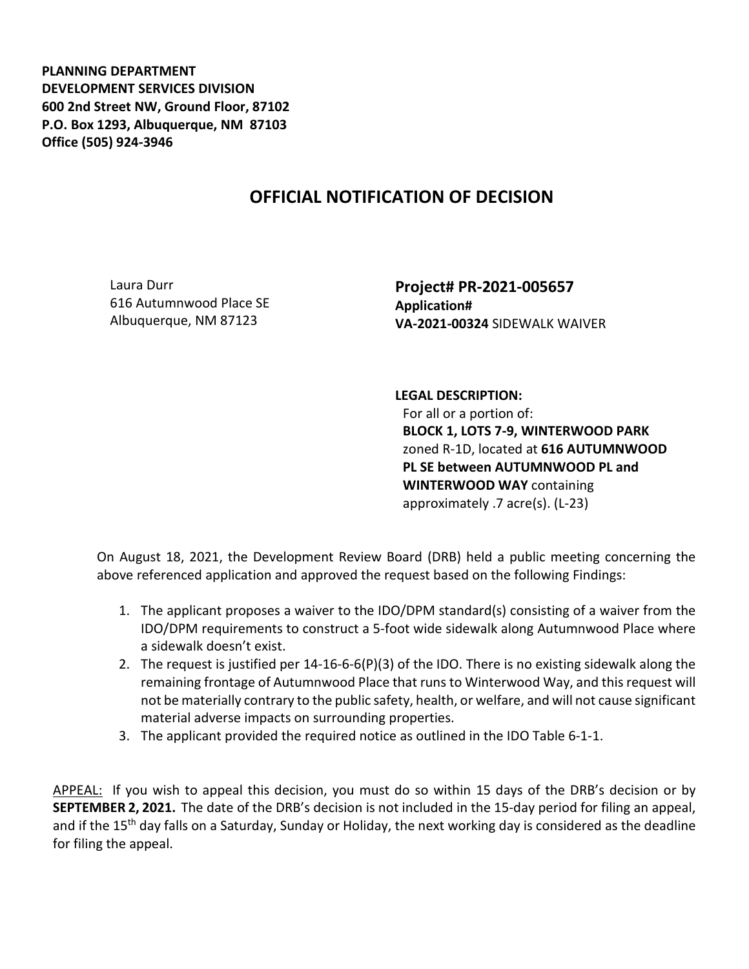**PLANNING DEPARTMENT DEVELOPMENT SERVICES DIVISION 600 2nd Street NW, Ground Floor, 87102 P.O. Box 1293, Albuquerque, NM 87103 Office (505) 924-3946** 

## **OFFICIAL NOTIFICATION OF DECISION**

Laura Durr 616 Autumnwood Place SE Albuquerque, NM 87123

**Project# PR-2021-005657 Application# VA-2021-00324** SIDEWALK WAIVER

## **LEGAL DESCRIPTION:**

For all or a portion of: **BLOCK 1, LOTS 7-9, WINTERWOOD PARK**  zoned R-1D, located at **616 AUTUMNWOOD PL SE between AUTUMNWOOD PL and WINTERWOOD WAY** containing approximately .7 acre(s). (L-23)

On August 18, 2021, the Development Review Board (DRB) held a public meeting concerning the above referenced application and approved the request based on the following Findings:

- 1. The applicant proposes a waiver to the IDO/DPM standard(s) consisting of a waiver from the IDO/DPM requirements to construct a 5-foot wide sidewalk along Autumnwood Place where a sidewalk doesn't exist.
- 2. The request is justified per 14-16-6-6(P)(3) of the IDO. There is no existing sidewalk along the remaining frontage of Autumnwood Place that runs to Winterwood Way, and this request will not be materially contrary to the public safety, health, or welfare, and will not cause significant material adverse impacts on surrounding properties.
- 3. The applicant provided the required notice as outlined in the IDO Table 6-1-1.

APPEAL: If you wish to appeal this decision, you must do so within 15 days of the DRB's decision or by **SEPTEMBER 2, 2021.** The date of the DRB's decision is not included in the 15-day period for filing an appeal, and if the 15<sup>th</sup> day falls on a Saturday, Sunday or Holiday, the next working day is considered as the deadline for filing the appeal.